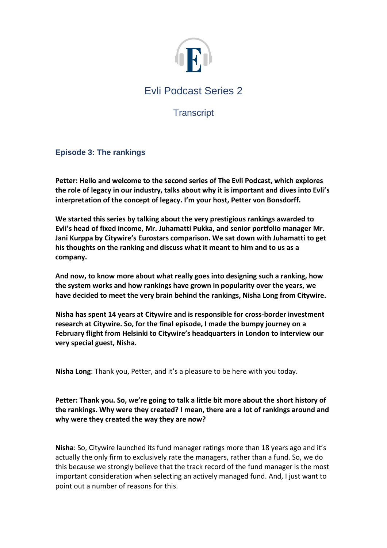

**Transcript** 

# **Episode 3: The rankings**

**Petter: Hello and welcome to the second series of The Evli Podcast, which explores the role of legacy in our industry, talks about why it is important and dives into Evli's interpretation of the concept of legacy. I'm your host, Petter von Bonsdorff.** 

**We started this series by talking about the very prestigious rankings awarded to Evli's head of fixed income, Mr. Juhamatti Pukka, and senior portfolio manager Mr. Jani Kurppa by Citywire's Eurostars comparison. We sat down with Juhamatti to get his thoughts on the ranking and discuss what it meant to him and to us as a company.**

**And now, to know more about what really goes into designing such a ranking, how the system works and how rankings have grown in popularity over the years, we have decided to meet the very brain behind the rankings, Nisha Long from Citywire.** 

**Nisha has spent 14 years at Citywire and is responsible for cross-border investment research at Citywire. So, for the final episode, I made the bumpy journey on a February flight from Helsinki to Citywire's headquarters in London to interview our very special guest, Nisha.** 

**Nisha Long**: Thank you, Petter, and it's a pleasure to be here with you today.

**Petter: Thank you. So, we're going to talk a little bit more about the short history of the rankings. Why were they created? I mean, there are a lot of rankings around and why were they created the way they are now?**

**Nisha**: So, Citywire launched its fund manager ratings more than 18 years ago and it's actually the only firm to exclusively rate the managers, rather than a fund. So, we do this because we strongly believe that the track record of the fund manager is the most important consideration when selecting an actively managed fund. And, I just want to point out a number of reasons for this.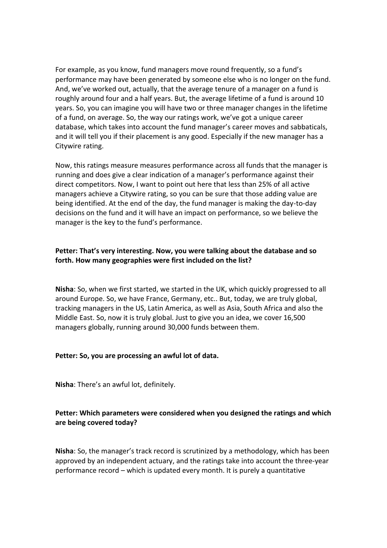For example, as you know, fund managers move round frequently, so a fund's performance may have been generated by someone else who is no longer on the fund. And, we've worked out, actually, that the average tenure of a manager on a fund is roughly around four and a half years. But, the average lifetime of a fund is around 10 years. So, you can imagine you will have two or three manager changes in the lifetime of a fund, on average. So, the way our ratings work, we've got a unique career database, which takes into account the fund manager's career moves and sabbaticals, and it will tell you if their placement is any good. Especially if the new manager has a Citywire rating.

Now, this ratings measure measures performance across all funds that the manager is running and does give a clear indication of a manager's performance against their direct competitors. Now, I want to point out here that less than 25% of all active managers achieve a Citywire rating, so you can be sure that those adding value are being identified. At the end of the day, the fund manager is making the day-to-day decisions on the fund and it will have an impact on performance, so we believe the manager is the key to the fund's performance.

### **Petter: That's very interesting. Now, you were talking about the database and so forth. How many geographies were first included on the list?**

**Nisha**: So, when we first started, we started in the UK, which quickly progressed to all around Europe. So, we have France, Germany, etc.. But, today, we are truly global, tracking managers in the US, Latin America, as well as Asia, South Africa and also the Middle East. So, now it is truly global. Just to give you an idea, we cover 16,500 managers globally, running around 30,000 funds between them.

#### **Petter: So, you are processing an awful lot of data.**

**Nisha**: There's an awful lot, definitely.

### **Petter: Which parameters were considered when you designed the ratings and which are being covered today?**

**Nisha**: So, the manager's track record is scrutinized by a methodology, which has been approved by an independent actuary, and the ratings take into account the three-year performance record – which is updated every month. It is purely a quantitative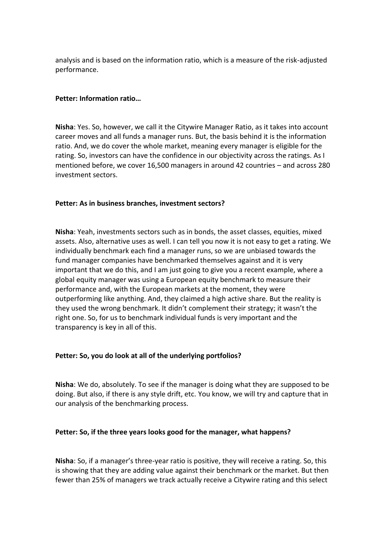analysis and is based on the information ratio, which is a measure of the risk-adjusted performance.

#### **Petter: Information ratio…**

**Nisha**: Yes. So, however, we call it the Citywire Manager Ratio, as it takes into account career moves and all funds a manager runs. But, the basis behind it is the information ratio. And, we do cover the whole market, meaning every manager is eligible for the rating. So, investors can have the confidence in our objectivity across the ratings. As I mentioned before, we cover 16,500 managers in around 42 countries – and across 280 investment sectors.

### **Petter: As in business branches, investment sectors?**

**Nisha**: Yeah, investments sectors such as in bonds, the asset classes, equities, mixed assets. Also, alternative uses as well. I can tell you now it is not easy to get a rating. We individually benchmark each find a manager runs, so we are unbiased towards the fund manager companies have benchmarked themselves against and it is very important that we do this, and I am just going to give you a recent example, where a global equity manager was using a European equity benchmark to measure their performance and, with the European markets at the moment, they were outperforming like anything. And, they claimed a high active share. But the reality is they used the wrong benchmark. It didn't complement their strategy; it wasn't the right one. So, for us to benchmark individual funds is very important and the transparency is key in all of this.

#### **Petter: So, you do look at all of the underlying portfolios?**

**Nisha**: We do, absolutely. To see if the manager is doing what they are supposed to be doing. But also, if there is any style drift, etc. You know, we will try and capture that in our analysis of the benchmarking process.

#### **Petter: So, if the three years looks good for the manager, what happens?**

**Nisha**: So, if a manager's three-year ratio is positive, they will receive a rating. So, this is showing that they are adding value against their benchmark or the market. But then fewer than 25% of managers we track actually receive a Citywire rating and this select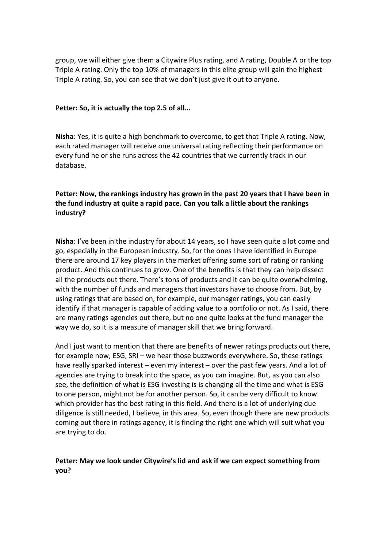group, we will either give them a Citywire Plus rating, and A rating, Double A or the top Triple A rating. Only the top 10% of managers in this elite group will gain the highest Triple A rating. So, you can see that we don't just give it out to anyone.

#### **Petter: So, it is actually the top 2.5 of all…**

**Nisha**: Yes, it is quite a high benchmark to overcome, to get that Triple A rating. Now, each rated manager will receive one universal rating reflecting their performance on every fund he or she runs across the 42 countries that we currently track in our database.

# **Petter: Now, the rankings industry has grown in the past 20 years that I have been in the fund industry at quite a rapid pace. Can you talk a little about the rankings industry?**

**Nisha**: I've been in the industry for about 14 years, so I have seen quite a lot come and go, especially in the European industry. So, for the ones I have identified in Europe there are around 17 key players in the market offering some sort of rating or ranking product. And this continues to grow. One of the benefits is that they can help dissect all the products out there. There's tons of products and it can be quite overwhelming, with the number of funds and managers that investors have to choose from. But, by using ratings that are based on, for example, our manager ratings, you can easily identify if that manager is capable of adding value to a portfolio or not. As I said, there are many ratings agencies out there, but no one quite looks at the fund manager the way we do, so it is a measure of manager skill that we bring forward.

And I just want to mention that there are benefits of newer ratings products out there, for example now, ESG, SRI – we hear those buzzwords everywhere. So, these ratings have really sparked interest – even my interest – over the past few years. And a lot of agencies are trying to break into the space, as you can imagine. But, as you can also see, the definition of what is ESG investing is is changing all the time and what is ESG to one person, might not be for another person. So, it can be very difficult to know which provider has the best rating in this field. And there is a lot of underlying due diligence is still needed, I believe, in this area. So, even though there are new products coming out there in ratings agency, it is finding the right one which will suit what you are trying to do.

# **Petter: May we look under Citywire's lid and ask if we can expect something from you?**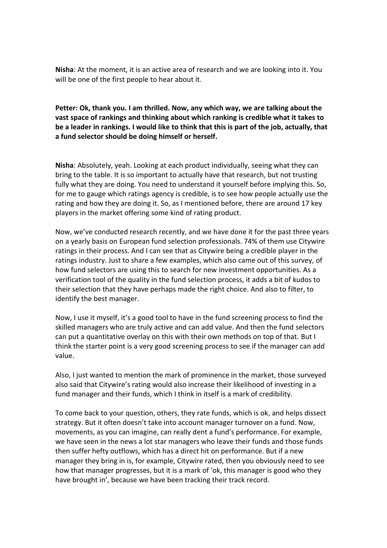**Nisha**: At the moment, it is an active area of research and we are looking into it. You will be one of the first people to hear about it.

# **Petter: Ok, thank you. I am thrilled. Now, any which way, we are talking about the vast space of rankings and thinking about which ranking is credible what it takes to be a leader in rankings. I would like to think that this is part of the job, actually, that a fund selector should be doing himself or herself.**

**Nisha**: Absolutely, yeah. Looking at each product individually, seeing what they can bring to the table. It is so important to actually have that research, but not trusting fully what they are doing. You need to understand it yourself before implying this. So, for me to gauge which ratings agency is credible, is to see how people actually use the rating and how they are doing it. So, as I mentioned before, there are around 17 key players in the market offering some kind of rating product.

Now, we've conducted research recently, and we have done it for the past three years on a yearly basis on European fund selection professionals. 74% of them use Citywire ratings in their process. And I can see that as Citywire being a credible player in the ratings industry. Just to share a few examples, which also came out of this survey, of how fund selectors are using this to search for new investment opportunities. As a verification tool of the quality in the fund selection process, it adds a bit of kudos to their selection that they have perhaps made the right choice. And also to filter, to identify the best manager.

Now, I use it myself, it's a good tool to have in the fund screening process to find the skilled managers who are truly active and can add value. And then the fund selectors can put a quantitative overlay on this with their own methods on top of that. But I think the starter point is a very good screening process to see if the manager can add value.

Also, I just wanted to mention the mark of prominence in the market, those surveyed also said that Citywire's rating would also increase their likelihood of investing in a fund manager and their funds, which I think in itself is a mark of credibility.

To come back to your question, others, they rate funds, which is ok, and helps dissect strategy. But it often doesn't take into account manager turnover on a fund. Now, movements, as you can imagine, can really dent a fund's performance. For example, we have seen in the news a lot star managers who leave their funds and those funds then suffer hefty outflows, which has a direct hit on performance. But if a new manager they bring in is, for example, Citywire rated, then you obviously need to see how that manager progresses, but it is a mark of 'ok, this manager is good who they have brought in', because we have been tracking their track record.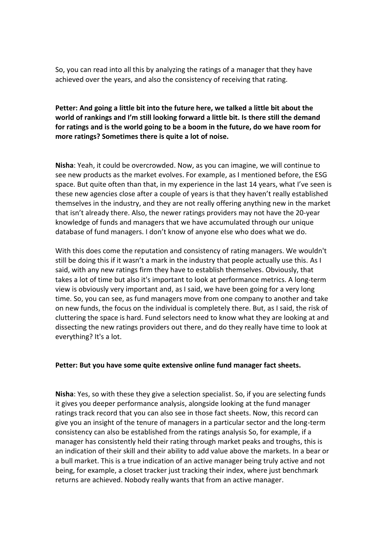So, you can read into all this by analyzing the ratings of a manager that they have achieved over the years, and also the consistency of receiving that rating.

# **Petter: And going a little bit into the future here, we talked a little bit about the world of rankings and I'm still looking forward a little bit. Is there still the demand for ratings and is the world going to be a boom in the future, do we have room for more ratings? Sometimes there is quite a lot of noise.**

**Nisha**: Yeah, it could be overcrowded. Now, as you can imagine, we will continue to see new products as the market evolves. For example, as I mentioned before, the ESG space. But quite often than that, in my experience in the last 14 years, what I've seen is these new agencies close after a couple of years is that they haven't really established themselves in the industry, and they are not really offering anything new in the market that isn't already there. Also, the newer ratings providers may not have the 20-year knowledge of funds and managers that we have accumulated through our unique database of fund managers. I don't know of anyone else who does what we do.

With this does come the reputation and consistency of rating managers. We wouldn't still be doing this if it wasn't a mark in the industry that people actually use this. As I said, with any new ratings firm they have to establish themselves. Obviously, that takes a lot of time but also it's important to look at performance metrics. A long-term view is obviously very important and, as I said, we have been going for a very long time. So, you can see, as fund managers move from one company to another and take on new funds, the focus on the individual is completely there. But, as I said, the risk of cluttering the space is hard. Fund selectors need to know what they are looking at and dissecting the new ratings providers out there, and do they really have time to look at everything? It's a lot.

#### **Petter: But you have some quite extensive online fund manager fact sheets.**

**Nisha**: Yes, so with these they give a selection specialist. So, if you are selecting funds it gives you deeper performance analysis, alongside looking at the fund manager ratings track record that you can also see in those fact sheets. Now, this record can give you an insight of the tenure of managers in a particular sector and the long-term consistency can also be established from the ratings analysis So, for example, if a manager has consistently held their rating through market peaks and troughs, this is an indication of their skill and their ability to add value above the markets. In a bear or a bull market. This is a true indication of an active manager being truly active and not being, for example, a closet tracker just tracking their index, where just benchmark returns are achieved. Nobody really wants that from an active manager.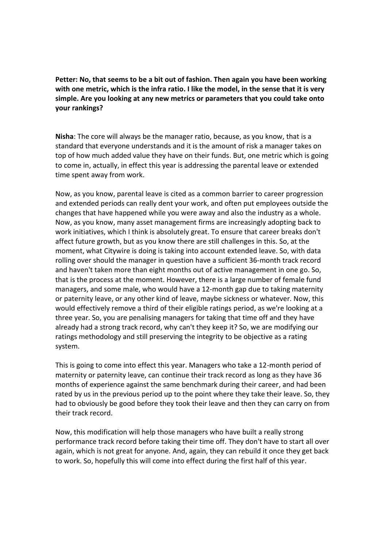**Petter: No, that seems to be a bit out of fashion. Then again you have been working with one metric, which is the infra ratio. I like the model, in the sense that it is very simple. Are you looking at any new metrics or parameters that you could take onto your rankings?** 

**Nisha**: The core will always be the manager ratio, because, as you know, that is a standard that everyone understands and it is the amount of risk a manager takes on top of how much added value they have on their funds. But, one metric which is going to come in, actually, in effect this year is addressing the parental leave or extended time spent away from work.

Now, as you know, parental leave is cited as a common barrier to career progression and extended periods can really dent your work, and often put employees outside the changes that have happened while you were away and also the industry as a whole. Now, as you know, many asset management firms are increasingly adopting back to work initiatives, which I think is absolutely great. To ensure that career breaks don't affect future growth, but as you know there are still challenges in this. So, at the moment, what Citywire is doing is taking into account extended leave. So, with data rolling over should the manager in question have a sufficient 36-month track record and haven't taken more than eight months out of active management in one go. So, that is the process at the moment. However, there is a large number of female fund managers, and some male, who would have a 12-month gap due to taking maternity or paternity leave, or any other kind of leave, maybe sickness or whatever. Now, this would effectively remove a third of their eligible ratings period, as we're looking at a three year. So, you are penalising managers for taking that time off and they have already had a strong track record, why can't they keep it? So, we are modifying our ratings methodology and still preserving the integrity to be objective as a rating system.

This is going to come into effect this year. Managers who take a 12-month period of maternity or paternity leave, can continue their track record as long as they have 36 months of experience against the same benchmark during their career, and had been rated by us in the previous period up to the point where they take their leave. So, they had to obviously be good before they took their leave and then they can carry on from their track record.

Now, this modification will help those managers who have built a really strong performance track record before taking their time off. They don't have to start all over again, which is not great for anyone. And, again, they can rebuild it once they get back to work. So, hopefully this will come into effect during the first half of this year.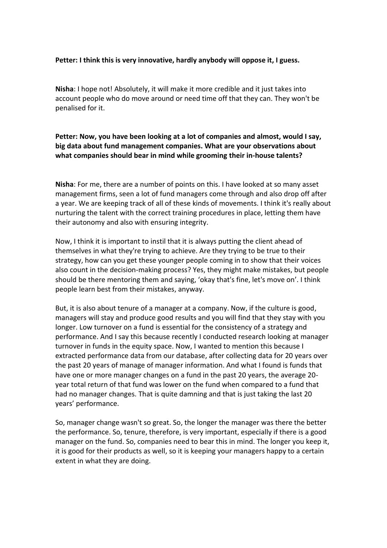#### **Petter: I think this is very innovative, hardly anybody will oppose it, I guess.**

**Nisha**: I hope not! Absolutely, it will make it more credible and it just takes into account people who do move around or need time off that they can. They won't be penalised for it.

# **Petter: Now, you have been looking at a lot of companies and almost, would I say, big data about fund management companies. What are your observations about what companies should bear in mind while grooming their in-house talents?**

**Nisha**: For me, there are a number of points on this. I have looked at so many asset management firms, seen a lot of fund managers come through and also drop off after a year. We are keeping track of all of these kinds of movements. I think it's really about nurturing the talent with the correct training procedures in place, letting them have their autonomy and also with ensuring integrity.

Now, I think it is important to instil that it is always putting the client ahead of themselves in what they're trying to achieve. Are they trying to be true to their strategy, how can you get these younger people coming in to show that their voices also count in the decision-making process? Yes, they might make mistakes, but people should be there mentoring them and saying, 'okay that's fine, let's move on'. I think people learn best from their mistakes, anyway.

But, it is also about tenure of a manager at a company. Now, if the culture is good, managers will stay and produce good results and you will find that they stay with you longer. Low turnover on a fund is essential for the consistency of a strategy and performance. And I say this because recently I conducted research looking at manager turnover in funds in the equity space. Now, I wanted to mention this because I extracted performance data from our database, after collecting data for 20 years over the past 20 years of manage of manager information. And what I found is funds that have one or more manager changes on a fund in the past 20 years, the average 20 year total return of that fund was lower on the fund when compared to a fund that had no manager changes. That is quite damning and that is just taking the last 20 years' performance.

So, manager change wasn't so great. So, the longer the manager was there the better the performance. So, tenure, therefore, is very important, especially if there is a good manager on the fund. So, companies need to bear this in mind. The longer you keep it, it is good for their products as well, so it is keeping your managers happy to a certain extent in what they are doing.